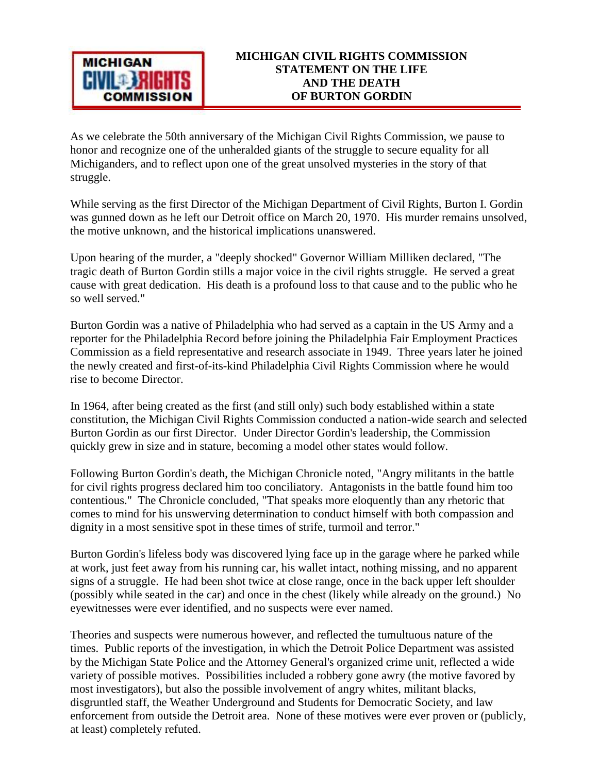

As we celebrate the 50th anniversary of the Michigan Civil Rights Commission, we pause to honor and recognize one of the unheralded giants of the struggle to secure equality for all Michiganders, and to reflect upon one of the great unsolved mysteries in the story of that struggle.

While serving as the first Director of the Michigan Department of Civil Rights, Burton I. Gordin was gunned down as he left our Detroit office on March 20, 1970. His murder remains unsolved, the motive unknown, and the historical implications unanswered.

Upon hearing of the murder, a "deeply shocked" Governor William Milliken declared, "The tragic death of Burton Gordin stills a major voice in the civil rights struggle. He served a great cause with great dedication. His death is a profound loss to that cause and to the public who he so well served."

Burton Gordin was a native of Philadelphia who had served as a captain in the US Army and a reporter for the Philadelphia Record before joining the Philadelphia Fair Employment Practices Commission as a field representative and research associate in 1949. Three years later he joined the newly created and first-of-its-kind Philadelphia Civil Rights Commission where he would rise to become Director.

In 1964, after being created as the first (and still only) such body established within a state constitution, the Michigan Civil Rights Commission conducted a nation-wide search and selected Burton Gordin as our first Director. Under Director Gordin's leadership, the Commission quickly grew in size and in stature, becoming a model other states would follow.

Following Burton Gordin's death, the Michigan Chronicle noted, "Angry militants in the battle for civil rights progress declared him too conciliatory. Antagonists in the battle found him too contentious." The Chronicle concluded, "That speaks more eloquently than any rhetoric that comes to mind for his unswerving determination to conduct himself with both compassion and dignity in a most sensitive spot in these times of strife, turmoil and terror."

Burton Gordin's lifeless body was discovered lying face up in the garage where he parked while at work, just feet away from his running car, his wallet intact, nothing missing, and no apparent signs of a struggle. He had been shot twice at close range, once in the back upper left shoulder (possibly while seated in the car) and once in the chest (likely while already on the ground.) No eyewitnesses were ever identified, and no suspects were ever named.

Theories and suspects were numerous however, and reflected the tumultuous nature of the times. Public reports of the investigation, in which the Detroit Police Department was assisted by the Michigan State Police and the Attorney General's organized crime unit, reflected a wide variety of possible motives. Possibilities included a robbery gone awry (the motive favored by most investigators), but also the possible involvement of angry whites, militant blacks, disgruntled staff, the Weather Underground and Students for Democratic Society, and law enforcement from outside the Detroit area. None of these motives were ever proven or (publicly, at least) completely refuted.